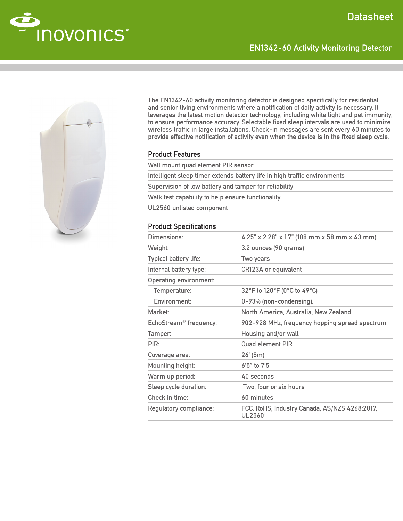EN1342-60 Activity Monitoring Detector





The EN1342-60 activity monitoring detector is designed specifically for residential and senior living environments where a notification of daily activity is necessary. It leverages the latest motion detector technology, including white light and pet immunity, to ensure performance accuracy. Selectable fixed sleep intervals are used to minimize wireless traffic in large installations. Check-in messages are sent every 60 minutes to provide effective notification of activity even when the device is in the fixed sleep cycle.

## Product Features

| Wall mount quad element PIR sensor                                        |
|---------------------------------------------------------------------------|
| Intelligent sleep timer extends battery life in high traffic environments |
| Supervision of low battery and tamper for reliability                     |
| Walk test capability to help ensure functionality                         |
| UL2560 unlisted component                                                 |
|                                                                           |

## Product Specifications

| Dimensions:                        | 4.25" x 2.28" x 1.7" (108 mm x 58 mm x 43 mm)            |
|------------------------------------|----------------------------------------------------------|
| Weight:                            | 3.2 ounces (90 grams)                                    |
| Typical battery life:              | Two years                                                |
| Internal battery type:             | CR123A or equivalent                                     |
| <b>Operating environment:</b>      |                                                          |
| Temperature:                       | 32°F to 120°F (0°C to 49°C)                              |
| Environment:                       | 0-93% (non-condensing).                                  |
| Market <sup>-</sup>                | North America, Australia, New Zealand                    |
| EchoStream <sup>®</sup> frequency: | 902-928 MHz, frequency hopping spread spectrum           |
| Tamper:                            | Housing and/or wall                                      |
| PIR:                               | <b>Quad element PIR</b>                                  |
| Coverage area:                     | 26' (8m)                                                 |
| Mounting height:                   | $6'5''$ to $7'5$                                         |
| Warm up period:                    | 40 seconds                                               |
| Sleep cycle duration:              | Two, four or six hours                                   |
| Check in time:                     | 60 minutes                                               |
| Regulatory compliance:             | FCC, RoHS, Industry Canada, AS/NZS 4268:2017,<br>UL25601 |